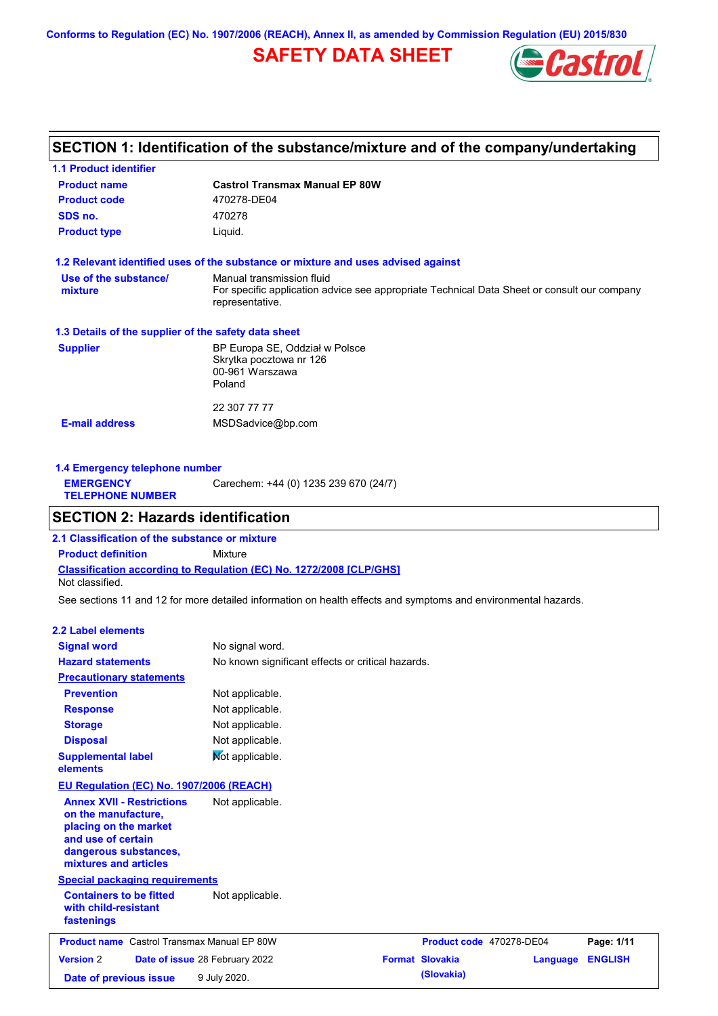**Conforms to Regulation (EC) No. 1907/2006 (REACH), Annex II, as amended by Commission Regulation (EU) 2015/830**

# **SAFETY DATA SHEET**



## **SECTION 1: Identification of the substance/mixture and of the company/undertaking**

| <b>1.1 Product identifier</b>                        |                                                                                                                                             |
|------------------------------------------------------|---------------------------------------------------------------------------------------------------------------------------------------------|
| <b>Product name</b>                                  | <b>Castrol Transmax Manual EP 80W</b>                                                                                                       |
| <b>Product code</b>                                  | 470278-DE04                                                                                                                                 |
| SDS no.                                              | 470278                                                                                                                                      |
| <b>Product type</b>                                  | Liquid.                                                                                                                                     |
|                                                      | 1.2 Relevant identified uses of the substance or mixture and uses advised against                                                           |
| Use of the substance/<br>mixture                     | Manual transmission fluid<br>For specific application advice see appropriate Technical Data Sheet or consult our company<br>representative. |
| 1.3 Details of the supplier of the safety data sheet |                                                                                                                                             |
| <b>Supplier</b>                                      | BP Europa SE, Oddział w Polsce<br>Skrytka pocztowa nr 126<br>00-961 Warszawa<br>Poland                                                      |
|                                                      | 22 307 77 77                                                                                                                                |
| <b>E-mail address</b>                                | MSDSadvice@bp.com                                                                                                                           |
|                                                      |                                                                                                                                             |
|                                                      |                                                                                                                                             |

**1.4 Emergency telephone number EMERGENCY TELEPHONE NUMBER** Carechem: +44 (0) 1235 239 670 (24/7)

## **SECTION 2: Hazards identification**

**Classification according to Regulation (EC) No. 1272/2008 [CLP/GHS] 2.1 Classification of the substance or mixture Product definition** Mixture Not classified.

See sections 11 and 12 for more detailed information on health effects and symptoms and environmental hazards.

#### **2.2 Label elements**

| <b>Signal word</b>                                                                                                                                       | No signal word.                |                                                   |                          |          |                |
|----------------------------------------------------------------------------------------------------------------------------------------------------------|--------------------------------|---------------------------------------------------|--------------------------|----------|----------------|
| <b>Hazard statements</b>                                                                                                                                 |                                | No known significant effects or critical hazards. |                          |          |                |
| <b>Precautionary statements</b>                                                                                                                          |                                |                                                   |                          |          |                |
| <b>Prevention</b>                                                                                                                                        | Not applicable.                |                                                   |                          |          |                |
| <b>Response</b>                                                                                                                                          | Not applicable.                |                                                   |                          |          |                |
| <b>Storage</b>                                                                                                                                           | Not applicable.                |                                                   |                          |          |                |
| <b>Disposal</b>                                                                                                                                          | Not applicable.                |                                                   |                          |          |                |
| <b>Supplemental label</b><br>elements                                                                                                                    | Not applicable.                |                                                   |                          |          |                |
| EU Regulation (EC) No. 1907/2006 (REACH)                                                                                                                 |                                |                                                   |                          |          |                |
| <b>Annex XVII - Restrictions</b><br>on the manufacture,<br>placing on the market<br>and use of certain<br>dangerous substances,<br>mixtures and articles | Not applicable.                |                                                   |                          |          |                |
| <b>Special packaging requirements</b>                                                                                                                    |                                |                                                   |                          |          |                |
| <b>Containers to be fitted</b><br>with child-resistant<br>fastenings                                                                                     | Not applicable.                |                                                   |                          |          |                |
| <b>Product name</b> Castrol Transmax Manual EP 80W                                                                                                       |                                |                                                   | Product code 470278-DE04 |          | Page: 1/11     |
| <b>Version 2</b>                                                                                                                                         | Date of issue 28 February 2022 |                                                   | <b>Format Slovakia</b>   | Language | <b>ENGLISH</b> |
| Date of previous issue                                                                                                                                   | 9 July 2020.                   |                                                   | (Slovakia)               |          |                |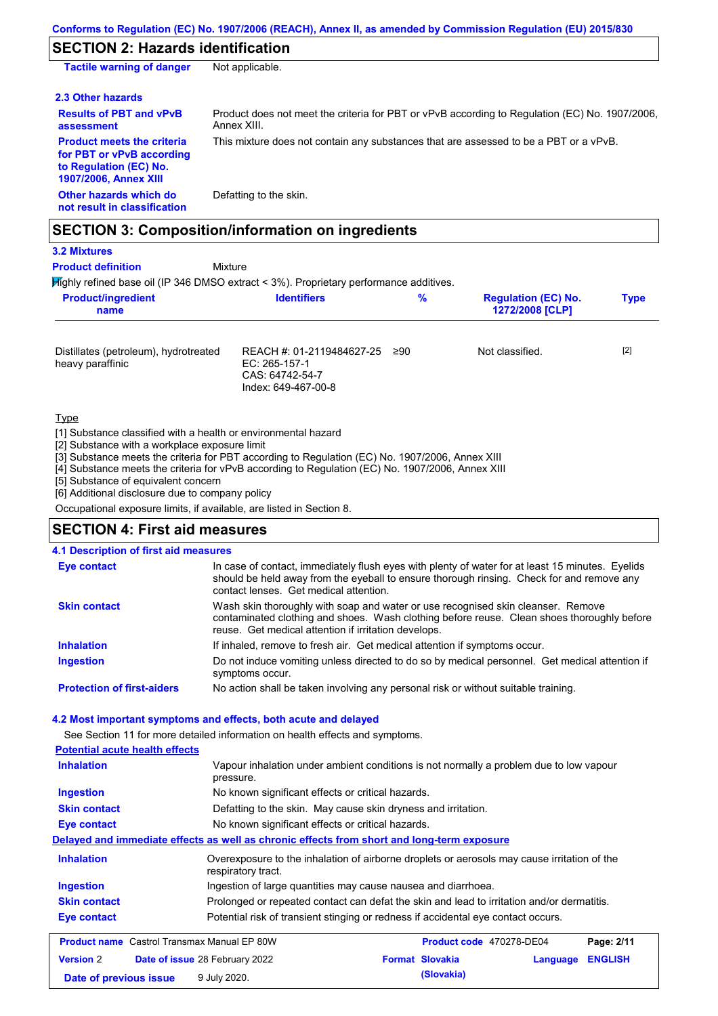# **SECTION 2: Hazards identification**

| <b>Tactile warning of danger</b>                                                                                         | Not applicable.                                                                                               |
|--------------------------------------------------------------------------------------------------------------------------|---------------------------------------------------------------------------------------------------------------|
| 2.3 Other hazards                                                                                                        |                                                                                                               |
| <b>Results of PBT and vPvB</b><br>assessment                                                                             | Product does not meet the criteria for PBT or vPvB according to Regulation (EC) No. 1907/2006,<br>Annex XIII. |
| <b>Product meets the criteria</b><br>for PBT or vPvB according<br>to Regulation (EC) No.<br><b>1907/2006, Annex XIII</b> | This mixture does not contain any substances that are assessed to be a PBT or a vPvB.                         |
| Other hazards which do<br>not result in classification                                                                   | Defatting to the skin.                                                                                        |

## **SECTION 3: Composition/information on ingredients**

#### **3.2 Mixtures Product definition**

Mixture

Highly refined base oil (IP 346 DMSO extract < 3%). Proprietary performance additives.

| <b>Product/ingredient</b><br>name                         | <b>Identifiers</b>                                                                   | %   | <b>Regulation (EC) No.</b><br>1272/2008 [CLP] | <b>Type</b> |
|-----------------------------------------------------------|--------------------------------------------------------------------------------------|-----|-----------------------------------------------|-------------|
| Distillates (petroleum), hydrotreated<br>heavy paraffinic | REACH #: 01-2119484627-25<br>EC: 265-157-1<br>CAS: 64742-54-7<br>Index: 649-467-00-8 | ≥90 | Not classified.                               | $[2]$       |

**Type** 

[1] Substance classified with a health or environmental hazard

[2] Substance with a workplace exposure limit

[3] Substance meets the criteria for PBT according to Regulation (EC) No. 1907/2006, Annex XIII

[4] Substance meets the criteria for vPvB according to Regulation (EC) No. 1907/2006, Annex XIII

**Date of previous issue 9 July 2020. (Slovakia) (Slovakia)** 

[5] Substance of equivalent concern

[6] Additional disclosure due to company policy

Occupational exposure limits, if available, are listed in Section 8.

## **SECTION 4: First aid measures**

| 4.1 Description of first aid measures                           |                                                                                            |                                                                                                                                                                                                                                        |          |                |
|-----------------------------------------------------------------|--------------------------------------------------------------------------------------------|----------------------------------------------------------------------------------------------------------------------------------------------------------------------------------------------------------------------------------------|----------|----------------|
| <b>Eye contact</b>                                              | contact lenses. Get medical attention.                                                     | In case of contact, immediately flush eyes with plenty of water for at least 15 minutes. Eyelids<br>should be held away from the eyeball to ensure thorough rinsing. Check for and remove any                                          |          |                |
| <b>Skin contact</b>                                             |                                                                                            | Wash skin thoroughly with soap and water or use recognised skin cleanser. Remove<br>contaminated clothing and shoes. Wash clothing before reuse. Clean shoes thoroughly before<br>reuse. Get medical attention if irritation develops. |          |                |
| <b>Inhalation</b>                                               |                                                                                            | If inhaled, remove to fresh air. Get medical attention if symptoms occur.                                                                                                                                                              |          |                |
| <b>Ingestion</b>                                                | symptoms occur.                                                                            | Do not induce vomiting unless directed to do so by medical personnel. Get medical attention if                                                                                                                                         |          |                |
| <b>Protection of first-aiders</b>                               |                                                                                            | No action shall be taken involving any personal risk or without suitable training.                                                                                                                                                     |          |                |
| 4.2 Most important symptoms and effects, both acute and delayed |                                                                                            |                                                                                                                                                                                                                                        |          |                |
|                                                                 | See Section 11 for more detailed information on health effects and symptoms.               |                                                                                                                                                                                                                                        |          |                |
| <b>Potential acute health effects</b>                           |                                                                                            |                                                                                                                                                                                                                                        |          |                |
| <b>Inhalation</b>                                               | pressure.                                                                                  | Vapour inhalation under ambient conditions is not normally a problem due to low vapour                                                                                                                                                 |          |                |
| <b>Ingestion</b>                                                |                                                                                            | No known significant effects or critical hazards.                                                                                                                                                                                      |          |                |
| <b>Skin contact</b>                                             |                                                                                            | Defatting to the skin. May cause skin dryness and irritation.                                                                                                                                                                          |          |                |
| <b>Eye contact</b>                                              | No known significant effects or critical hazards.                                          |                                                                                                                                                                                                                                        |          |                |
|                                                                 |                                                                                            | Delayed and immediate effects as well as chronic effects from short and long-term exposure                                                                                                                                             |          |                |
| <b>Inhalation</b>                                               | respiratory tract.                                                                         | Overexposure to the inhalation of airborne droplets or aerosols may cause irritation of the                                                                                                                                            |          |                |
| <b>Ingestion</b>                                                |                                                                                            | Ingestion of large quantities may cause nausea and diarrhoea.                                                                                                                                                                          |          |                |
| <b>Skin contact</b>                                             | Prolonged or repeated contact can defat the skin and lead to irritation and/or dermatitis. |                                                                                                                                                                                                                                        |          |                |
| <b>Eye contact</b>                                              |                                                                                            | Potential risk of transient stinging or redness if accidental eye contact occurs.                                                                                                                                                      |          |                |
| <b>Product name</b> Castrol Transmax Manual EP 80W              |                                                                                            | Product code 470278-DE04                                                                                                                                                                                                               |          | Page: 2/11     |
| <b>Version 2</b>                                                | Date of issue 28 February 2022                                                             | <b>Format Slovakia</b>                                                                                                                                                                                                                 | Language | <b>ENGLISH</b> |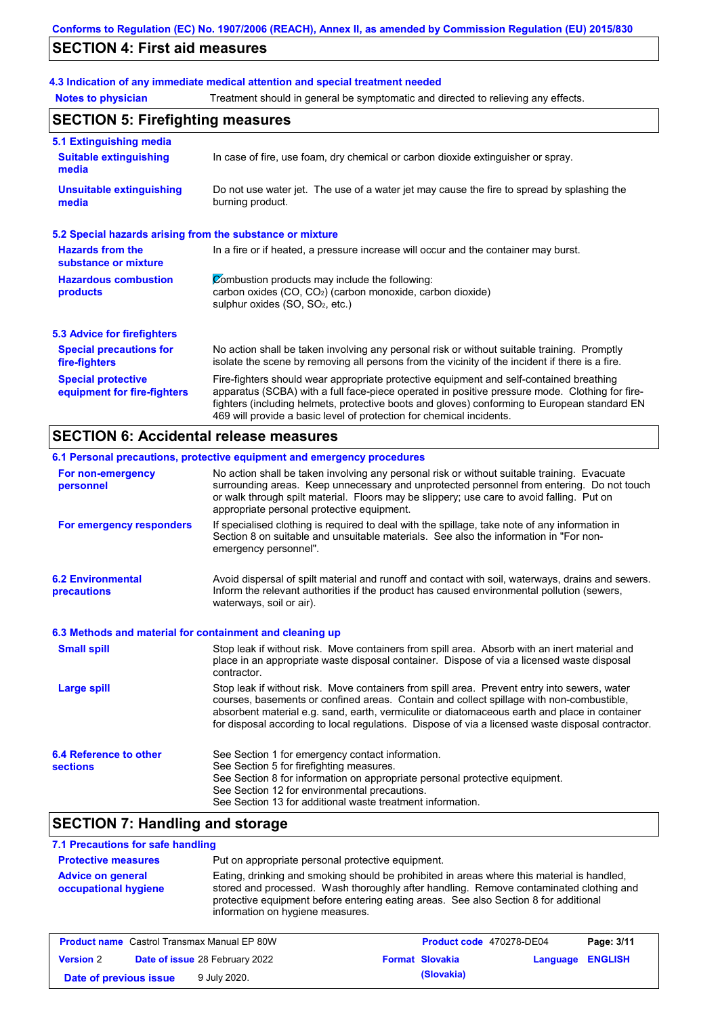## **SECTION 4: First aid measures**

## **4.3 Indication of any immediate medical attention and special treatment needed**

**Notes to physician** Treatment should in general be symptomatic and directed to relieving any effects.

| <b>SECTION 5: Firefighting measures</b>                           |                                                                                                                                                                                                                                                                                                                                                                   |  |  |  |
|-------------------------------------------------------------------|-------------------------------------------------------------------------------------------------------------------------------------------------------------------------------------------------------------------------------------------------------------------------------------------------------------------------------------------------------------------|--|--|--|
| 5.1 Extinguishing media<br><b>Suitable extinguishing</b><br>media | In case of fire, use foam, dry chemical or carbon dioxide extinguisher or spray.                                                                                                                                                                                                                                                                                  |  |  |  |
| <b>Unsuitable extinguishing</b><br>media                          | Do not use water jet. The use of a water jet may cause the fire to spread by splashing the<br>burning product.                                                                                                                                                                                                                                                    |  |  |  |
| 5.2 Special hazards arising from the substance or mixture         |                                                                                                                                                                                                                                                                                                                                                                   |  |  |  |
| <b>Hazards from the</b><br>substance or mixture                   | In a fire or if heated, a pressure increase will occur and the container may burst.                                                                                                                                                                                                                                                                               |  |  |  |
| <b>Hazardous combustion</b><br>products                           | Combustion products may include the following:<br>carbon oxides $(CO, CO2)$ (carbon monoxide, carbon dioxide)<br>sulphur oxides (SO, SO <sub>2</sub> , etc.)                                                                                                                                                                                                      |  |  |  |
| 5.3 Advice for firefighters                                       |                                                                                                                                                                                                                                                                                                                                                                   |  |  |  |
| <b>Special precautions for</b><br>fire-fighters                   | No action shall be taken involving any personal risk or without suitable training. Promptly<br>isolate the scene by removing all persons from the vicinity of the incident if there is a fire.                                                                                                                                                                    |  |  |  |
| <b>Special protective</b><br>equipment for fire-fighters          | Fire-fighters should wear appropriate protective equipment and self-contained breathing<br>apparatus (SCBA) with a full face-piece operated in positive pressure mode. Clothing for fire-<br>fighters (including helmets, protective boots and gloves) conforming to European standard EN<br>469 will provide a basic level of protection for chemical incidents. |  |  |  |

## **SECTION 6: Accidental release measures**

|                                                          | 6.1 Personal precautions, protective equipment and emergency procedures                                                                                                                                                                                                                                                                                                                        |
|----------------------------------------------------------|------------------------------------------------------------------------------------------------------------------------------------------------------------------------------------------------------------------------------------------------------------------------------------------------------------------------------------------------------------------------------------------------|
| For non-emergency<br>personnel                           | No action shall be taken involving any personal risk or without suitable training. Evacuate<br>surrounding areas. Keep unnecessary and unprotected personnel from entering. Do not touch<br>or walk through spilt material. Floors may be slippery; use care to avoid falling. Put on<br>appropriate personal protective equipment.                                                            |
| For emergency responders                                 | If specialised clothing is required to deal with the spillage, take note of any information in<br>Section 8 on suitable and unsuitable materials. See also the information in "For non-<br>emergency personnel".                                                                                                                                                                               |
| <b>6.2 Environmental</b><br>precautions                  | Avoid dispersal of spilt material and runoff and contact with soil, waterways, drains and sewers.<br>Inform the relevant authorities if the product has caused environmental pollution (sewers,<br>waterways, soil or air).                                                                                                                                                                    |
| 6.3 Methods and material for containment and cleaning up |                                                                                                                                                                                                                                                                                                                                                                                                |
| <b>Small spill</b>                                       | Stop leak if without risk. Move containers from spill area. Absorb with an inert material and<br>place in an appropriate waste disposal container. Dispose of via a licensed waste disposal<br>contractor.                                                                                                                                                                                     |
| <b>Large spill</b>                                       | Stop leak if without risk. Move containers from spill area. Prevent entry into sewers, water<br>courses, basements or confined areas. Contain and collect spillage with non-combustible,<br>absorbent material e.g. sand, earth, vermiculite or diatomaceous earth and place in container<br>for disposal according to local regulations. Dispose of via a licensed waste disposal contractor. |
| 6.4 Reference to other<br><b>sections</b>                | See Section 1 for emergency contact information.<br>See Section 5 for firefighting measures.<br>See Section 8 for information on appropriate personal protective equipment.<br>See Section 12 for environmental precautions.<br>See Section 13 for additional waste treatment information.                                                                                                     |

## **SECTION 7: Handling and storage**

#### **7.1 Precautions for safe handling Protective measures Advice on general occupational hygiene** Put on appropriate personal protective equipment. Eating, drinking and smoking should be prohibited in areas where this material is handled, stored and processed. Wash thoroughly after handling. Remove contaminated clothing and protective equipment before entering eating areas. See also Section 8 for additional information on hygiene measures.

|                        | <b>Product name</b> Castrol Transmax Manual EP 80W | <b>Product code</b> 470278-DE04 |                         | Page: 3/11 |
|------------------------|----------------------------------------------------|---------------------------------|-------------------------|------------|
| <b>Version 2</b>       | <b>Date of issue 28 February 2022</b>              | <b>Format Slovakia</b>          | <b>Language ENGLISH</b> |            |
| Date of previous issue | 9 July 2020.                                       | (Slovakia)                      |                         |            |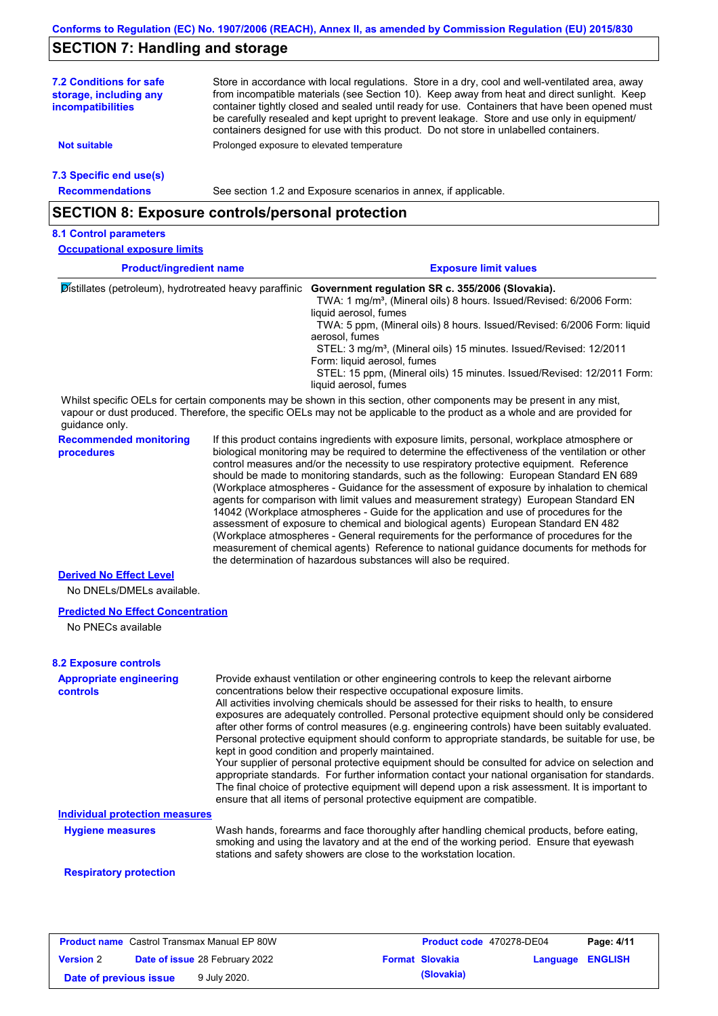## **SECTION 7: Handling and storage**

Store in accordance with local regulations. Store in a dry, cool and well-ventilated area, away from incompatible materials (see Section 10). Keep away from heat and direct sunlight. Keep container tightly closed and sealed until ready for use. Containers that have been opened must be carefully resealed and kept upright to prevent leakage. Store and use only in equipment/ containers designed for use with this product. Do not store in unlabelled containers. **7.2 Conditions for safe storage, including any incompatibilities 7.3 Specific end use(s) Recommendations Not suitable Not Prolonged** exposure to elevated temperature See section 1.2 and Exposure scenarios in annex, if applicable. **Product/ingredient name Exposure limit values Recommended monitoring procedures** If this product contains ingredients with exposure limits, personal, workplace atmosphere or biological monitoring may be required to determine the effectiveness of the ventilation or other control measures and/or the necessity to use respiratory protective equipment. Reference should be made to monitoring standards, such as the following: European Standard EN 689 (Workplace atmospheres - Guidance for the assessment of exposure by inhalation to chemical agents for comparison with limit values and measurement strategy) European Standard EN 14042 (Workplace atmospheres - Guide for the application and use of procedures for the assessment of exposure to chemical and biological agents) European Standard EN 482 (Workplace atmospheres - General requirements for the performance of procedures for the measurement of chemical agents) Reference to national guidance documents for methods for the determination of hazardous substances will also be required. **SECTION 8: Exposure controls/personal protection 8.1 Control parameters Derived No Effect Level** Whilst specific OELs for certain components may be shown in this section, other components may be present in any mist, vapour or dust produced. Therefore, the specific OELs may not be applicable to the product as a whole and are provided for guidance only. **Occupational exposure limits** Distillates (petroleum), hydrotreated heavy paraffinic **Government regulation SR c. 355/2006 (Slovakia).** TWA: 1 mg/m<sup>3</sup>, (Mineral oils) 8 hours. Issued/Revised: 6/2006 Form: liquid aerosol, fumes TWA: 5 ppm, (Mineral oils) 8 hours. Issued/Revised: 6/2006 Form: liquid aerosol, fumes STEL: 3 mg/m<sup>3</sup>, (Mineral oils) 15 minutes. Issued/Revised: 12/2011 Form: liquid aerosol, fumes STEL: 15 ppm, (Mineral oils) 15 minutes. Issued/Revised: 12/2011 Form: liquid aerosol, fumes

No DNELs/DMELs available.

#### **Predicted No Effect Concentration**

No PNECs available

| <b>8.2 Exposure controls</b>               |                                                                                                                                                                                                                                                                                                                                                                                                                                                                                                                                                                                                                                                                                                                                                                                                                                                                                                                                                                                                         |
|--------------------------------------------|---------------------------------------------------------------------------------------------------------------------------------------------------------------------------------------------------------------------------------------------------------------------------------------------------------------------------------------------------------------------------------------------------------------------------------------------------------------------------------------------------------------------------------------------------------------------------------------------------------------------------------------------------------------------------------------------------------------------------------------------------------------------------------------------------------------------------------------------------------------------------------------------------------------------------------------------------------------------------------------------------------|
| <b>Appropriate engineering</b><br>controls | Provide exhaust ventilation or other engineering controls to keep the relevant airborne<br>concentrations below their respective occupational exposure limits.<br>All activities involving chemicals should be assessed for their risks to health, to ensure<br>exposures are adequately controlled. Personal protective equipment should only be considered<br>after other forms of control measures (e.g. engineering controls) have been suitably evaluated.<br>Personal protective equipment should conform to appropriate standards, be suitable for use, be<br>kept in good condition and properly maintained.<br>Your supplier of personal protective equipment should be consulted for advice on selection and<br>appropriate standards. For further information contact your national organisation for standards.<br>The final choice of protective equipment will depend upon a risk assessment. It is important to<br>ensure that all items of personal protective equipment are compatible. |
| <b>Individual protection measures</b>      |                                                                                                                                                                                                                                                                                                                                                                                                                                                                                                                                                                                                                                                                                                                                                                                                                                                                                                                                                                                                         |
| <b>Hygiene measures</b>                    | Wash hands, forearms and face thoroughly after handling chemical products, before eating,<br>smoking and using the lavatory and at the end of the working period. Ensure that eyewash<br>stations and safety showers are close to the workstation location.                                                                                                                                                                                                                                                                                                                                                                                                                                                                                                                                                                                                                                                                                                                                             |

#### **Respiratory protection**

|                        | <b>Product name</b> Castrol Transmax Manual EP 80W | <b>Product code</b> 470278-DE04 |                         | Page: 4/11 |
|------------------------|----------------------------------------------------|---------------------------------|-------------------------|------------|
| <b>Version 2</b>       | <b>Date of issue 28 February 2022</b>              | <b>Format Slovakia</b>          | <b>Language ENGLISH</b> |            |
| Date of previous issue | 9 July 2020.                                       | (Slovakia)                      |                         |            |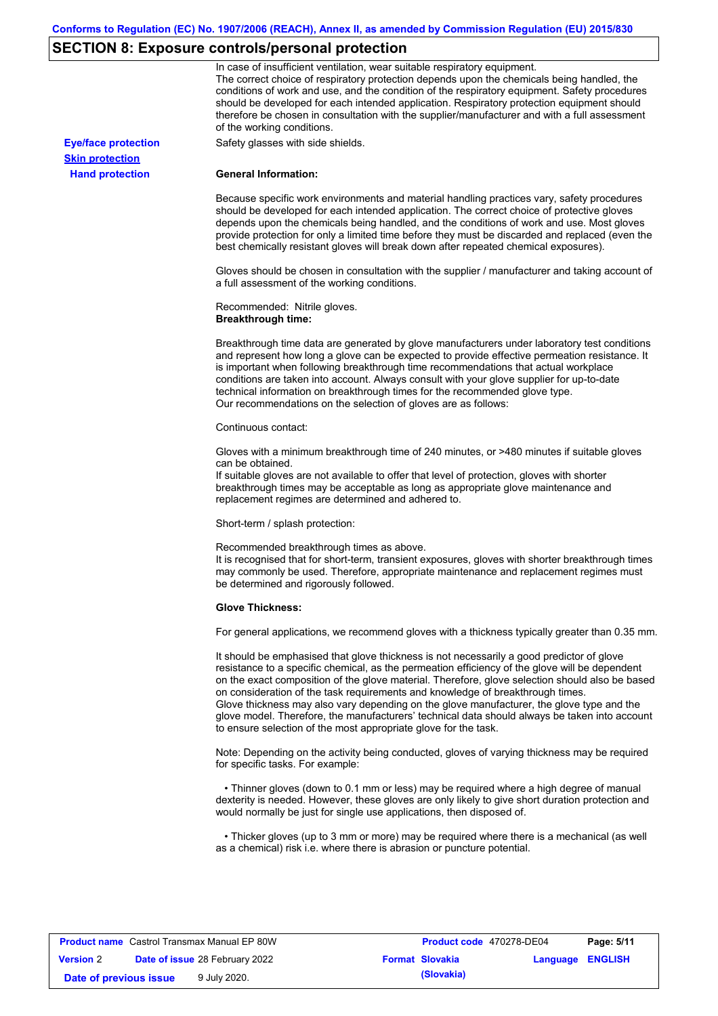# **SECTION 8: Exposure controls/personal protection**

|                            | In case of insufficient ventilation, wear suitable respiratory equipment.<br>The correct choice of respiratory protection depends upon the chemicals being handled, the<br>conditions of work and use, and the condition of the respiratory equipment. Safety procedures<br>should be developed for each intended application. Respiratory protection equipment should<br>therefore be chosen in consultation with the supplier/manufacturer and with a full assessment<br>of the working conditions.                                                                                                                                             |
|----------------------------|---------------------------------------------------------------------------------------------------------------------------------------------------------------------------------------------------------------------------------------------------------------------------------------------------------------------------------------------------------------------------------------------------------------------------------------------------------------------------------------------------------------------------------------------------------------------------------------------------------------------------------------------------|
| <b>Eye/face protection</b> | Safety glasses with side shields.                                                                                                                                                                                                                                                                                                                                                                                                                                                                                                                                                                                                                 |
| <b>Skin protection</b>     |                                                                                                                                                                                                                                                                                                                                                                                                                                                                                                                                                                                                                                                   |
| <b>Hand protection</b>     | <b>General Information:</b>                                                                                                                                                                                                                                                                                                                                                                                                                                                                                                                                                                                                                       |
|                            | Because specific work environments and material handling practices vary, safety procedures<br>should be developed for each intended application. The correct choice of protective gloves<br>depends upon the chemicals being handled, and the conditions of work and use. Most gloves<br>provide protection for only a limited time before they must be discarded and replaced (even the<br>best chemically resistant gloves will break down after repeated chemical exposures).                                                                                                                                                                  |
|                            | Gloves should be chosen in consultation with the supplier / manufacturer and taking account of<br>a full assessment of the working conditions.                                                                                                                                                                                                                                                                                                                                                                                                                                                                                                    |
|                            | Recommended: Nitrile gloves.<br><b>Breakthrough time:</b>                                                                                                                                                                                                                                                                                                                                                                                                                                                                                                                                                                                         |
|                            | Breakthrough time data are generated by glove manufacturers under laboratory test conditions<br>and represent how long a glove can be expected to provide effective permeation resistance. It<br>is important when following breakthrough time recommendations that actual workplace<br>conditions are taken into account. Always consult with your glove supplier for up-to-date<br>technical information on breakthrough times for the recommended glove type.<br>Our recommendations on the selection of gloves are as follows:                                                                                                                |
|                            | Continuous contact:                                                                                                                                                                                                                                                                                                                                                                                                                                                                                                                                                                                                                               |
|                            | Gloves with a minimum breakthrough time of 240 minutes, or >480 minutes if suitable gloves<br>can be obtained.<br>If suitable gloves are not available to offer that level of protection, gloves with shorter<br>breakthrough times may be acceptable as long as appropriate glove maintenance and<br>replacement regimes are determined and adhered to.                                                                                                                                                                                                                                                                                          |
|                            | Short-term / splash protection:                                                                                                                                                                                                                                                                                                                                                                                                                                                                                                                                                                                                                   |
|                            | Recommended breakthrough times as above.<br>It is recognised that for short-term, transient exposures, gloves with shorter breakthrough times<br>may commonly be used. Therefore, appropriate maintenance and replacement regimes must<br>be determined and rigorously followed.                                                                                                                                                                                                                                                                                                                                                                  |
|                            | <b>Glove Thickness:</b>                                                                                                                                                                                                                                                                                                                                                                                                                                                                                                                                                                                                                           |
|                            | For general applications, we recommend gloves with a thickness typically greater than 0.35 mm.                                                                                                                                                                                                                                                                                                                                                                                                                                                                                                                                                    |
|                            | It should be emphasised that glove thickness is not necessarily a good predictor of glove<br>resistance to a specific chemical, as the permeation efficiency of the glove will be dependent<br>on the exact composition of the glove material. Therefore, glove selection should also be based<br>on consideration of the task requirements and knowledge of breakthrough times.<br>Glove thickness may also vary depending on the glove manufacturer, the glove type and the<br>glove model. Therefore, the manufacturers' technical data should always be taken into account<br>to ensure selection of the most appropriate glove for the task. |
|                            | Note: Depending on the activity being conducted, gloves of varying thickness may be required<br>for specific tasks. For example:                                                                                                                                                                                                                                                                                                                                                                                                                                                                                                                  |
|                            | • Thinner gloves (down to 0.1 mm or less) may be required where a high degree of manual<br>dexterity is needed. However, these gloves are only likely to give short duration protection and<br>would normally be just for single use applications, then disposed of.                                                                                                                                                                                                                                                                                                                                                                              |
|                            | • Thicker gloves (up to 3 mm or more) may be required where there is a mechanical (as well<br>as a chemical) risk i.e. where there is abrasion or puncture potential.                                                                                                                                                                                                                                                                                                                                                                                                                                                                             |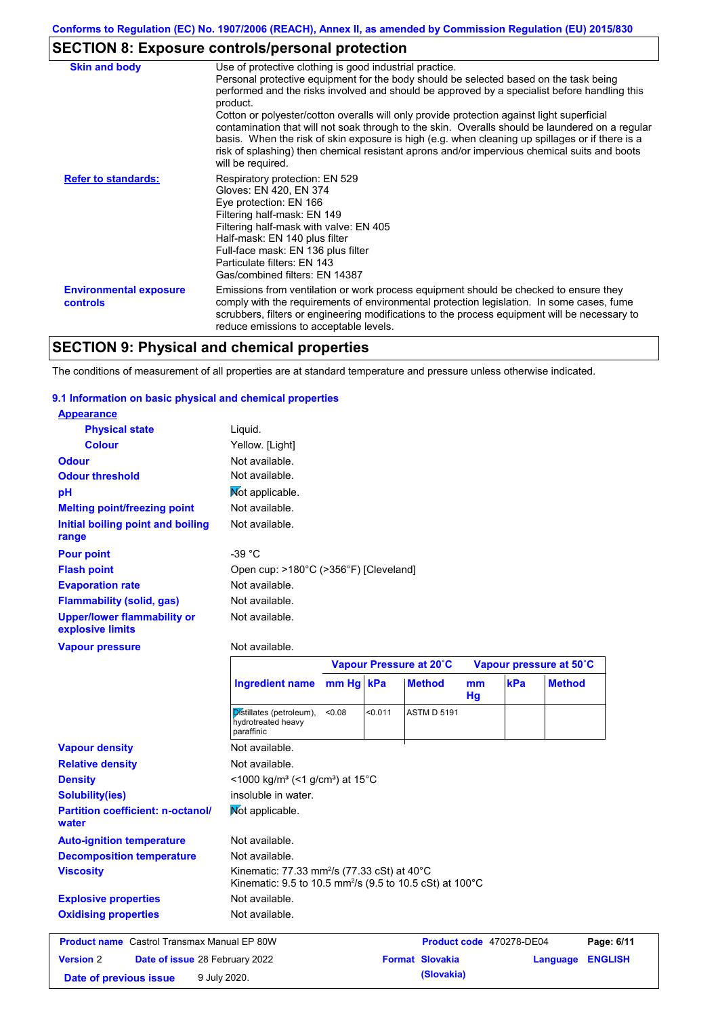# **SECTION 8: Exposure controls/personal protection**

| <b>Skin and body</b>                             | Use of protective clothing is good industrial practice.<br>Personal protective equipment for the body should be selected based on the task being<br>performed and the risks involved and should be approved by a specialist before handling this<br>product.<br>Cotton or polyester/cotton overalls will only provide protection against light superficial<br>contamination that will not soak through to the skin. Overalls should be laundered on a regular<br>basis. When the risk of skin exposure is high (e.g. when cleaning up spillages or if there is a<br>risk of splashing) then chemical resistant aprons and/or impervious chemical suits and boots<br>will be required. |
|--------------------------------------------------|---------------------------------------------------------------------------------------------------------------------------------------------------------------------------------------------------------------------------------------------------------------------------------------------------------------------------------------------------------------------------------------------------------------------------------------------------------------------------------------------------------------------------------------------------------------------------------------------------------------------------------------------------------------------------------------|
| <b>Refer to standards:</b>                       | Respiratory protection: EN 529<br>Gloves: EN 420, EN 374<br>Eye protection: EN 166<br>Filtering half-mask: EN 149<br>Filtering half-mask with valve: EN 405<br>Half-mask: EN 140 plus filter<br>Full-face mask: EN 136 plus filter<br>Particulate filters: EN 143<br>Gas/combined filters: EN 14387                                                                                                                                                                                                                                                                                                                                                                                   |
| <b>Environmental exposure</b><br><b>controls</b> | Emissions from ventilation or work process equipment should be checked to ensure they<br>comply with the requirements of environmental protection legislation. In some cases, fume<br>scrubbers, filters or engineering modifications to the process equipment will be necessary to<br>reduce emissions to acceptable levels.                                                                                                                                                                                                                                                                                                                                                         |

# **SECTION 9: Physical and chemical properties**

The conditions of measurement of all properties are at standard temperature and pressure unless otherwise indicated.

#### **9.1 Information on basic physical and chemical properties**

| <b>Appearance</b>                               |                                       |
|-------------------------------------------------|---------------------------------------|
| <b>Physical state</b>                           | Liguid.                               |
| <b>Colour</b>                                   | Yellow. [Light]                       |
| <b>Odour</b>                                    | Not available.                        |
| <b>Odour threshold</b>                          | Not available.                        |
| рH                                              | Mot applicable.                       |
| <b>Melting point/freezing point</b>             | Not available.                        |
| Initial boiling point and boiling<br>range      | Not available.                        |
| <b>Pour point</b>                               | -39 $^{\circ}$ C                      |
| <b>Flash point</b>                              | Open cup: >180°C (>356°F) [Cleveland] |
| <b>Evaporation rate</b>                         | Not available.                        |
| <b>Flammability (solid, gas)</b>                | Not available.                        |
| Upper/lower flammability or<br>explosive limits | Not available.                        |
| <b>Vapour pressure</b>                          | Not available.                        |
|                                                 | Vanour Pressure at 2                  |

|                                                    |                                                                                                                                            | Vapour Pressure at 20°C |         |                        | Vapour pressure at 50°C |                          |                |
|----------------------------------------------------|--------------------------------------------------------------------------------------------------------------------------------------------|-------------------------|---------|------------------------|-------------------------|--------------------------|----------------|
|                                                    | <b>Ingredient name</b>                                                                                                                     | mm Hg kPa               |         | <b>Method</b>          | mm<br>Hg                | kPa<br><b>Method</b>     |                |
|                                                    | Distillates (petroleum),<br>hydrotreated heavy<br>paraffinic                                                                               | < 0.08                  | < 0.011 | <b>ASTM D 5191</b>     |                         |                          |                |
| <b>Vapour density</b>                              | Not available.                                                                                                                             |                         |         |                        |                         |                          |                |
| <b>Relative density</b>                            | Not available.                                                                                                                             |                         |         |                        |                         |                          |                |
| <b>Density</b>                                     | <1000 kg/m <sup>3</sup> (<1 g/cm <sup>3</sup> ) at 15 <sup>°</sup> C                                                                       |                         |         |                        |                         |                          |                |
| <b>Solubility(ies)</b>                             | insoluble in water.                                                                                                                        |                         |         |                        |                         |                          |                |
| <b>Partition coefficient: n-octanol/</b><br>water  | Mot applicable.                                                                                                                            |                         |         |                        |                         |                          |                |
| <b>Auto-ignition temperature</b>                   | Not available.                                                                                                                             |                         |         |                        |                         |                          |                |
| <b>Decomposition temperature</b>                   | Not available.                                                                                                                             |                         |         |                        |                         |                          |                |
| <b>Viscosity</b>                                   | Kinematic: 77.33 mm <sup>2</sup> /s (77.33 cSt) at $40^{\circ}$ C<br>Kinematic: 9.5 to 10.5 mm <sup>2</sup> /s (9.5 to 10.5 cSt) at 100 °C |                         |         |                        |                         |                          |                |
| <b>Explosive properties</b>                        | Not available.                                                                                                                             |                         |         |                        |                         |                          |                |
| <b>Oxidising properties</b>                        | Not available.                                                                                                                             |                         |         |                        |                         |                          |                |
| <b>Product name</b> Castrol Transmax Manual EP 80W |                                                                                                                                            |                         |         |                        |                         | Product code 470278-DE04 | Page: 6/11     |
| <b>Version 2</b><br>Date of issue 28 February 2022 |                                                                                                                                            |                         |         | <b>Format Slovakia</b> |                         | Language                 | <b>ENGLISH</b> |
| Date of previous issue                             | 9 July 2020.                                                                                                                               |                         |         | (Slovakia)             |                         |                          |                |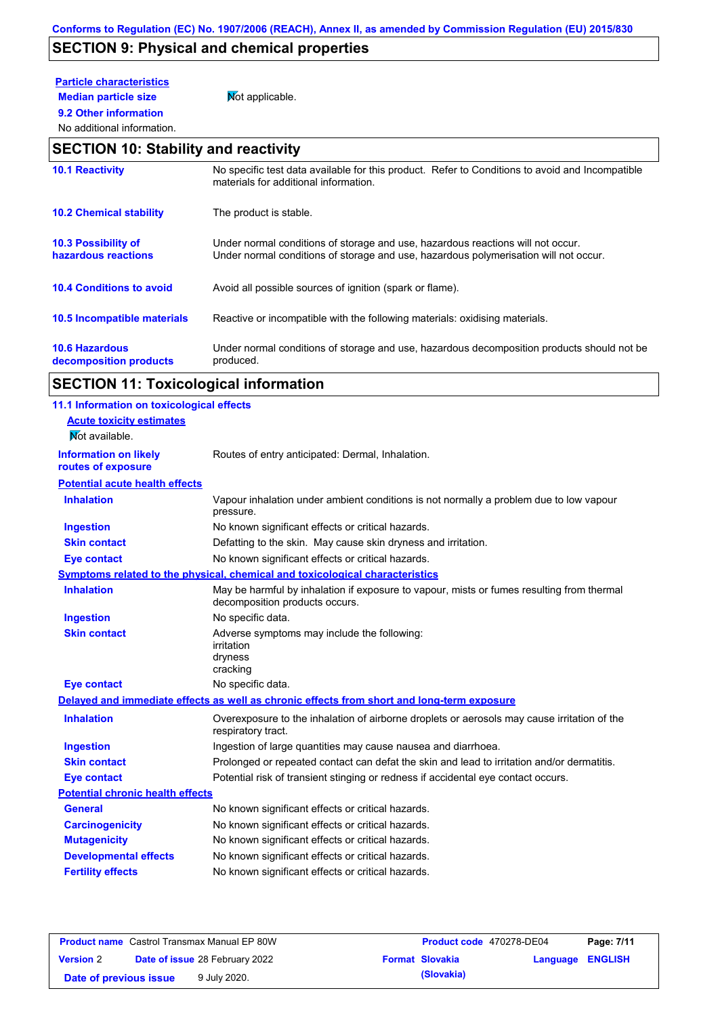# **SECTION 9: Physical and chemical properties**

| <b>Particle characteristics</b> |                 |
|---------------------------------|-----------------|
| <b>Median particle size</b>     | Mot applicable. |

**9.2 Other information**

## No additional information. **SECTION 10: Stability and reactivity**

| <b>10.1 Reactivity</b>                          | No specific test data available for this product. Refer to Conditions to avoid and Incompatible<br>materials for additional information.                                |
|-------------------------------------------------|-------------------------------------------------------------------------------------------------------------------------------------------------------------------------|
| <b>10.2 Chemical stability</b>                  | The product is stable.                                                                                                                                                  |
| 10.3 Possibility of<br>hazardous reactions      | Under normal conditions of storage and use, hazardous reactions will not occur.<br>Under normal conditions of storage and use, hazardous polymerisation will not occur. |
| <b>10.4 Conditions to avoid</b>                 | Avoid all possible sources of ignition (spark or flame).                                                                                                                |
| 10.5 Incompatible materials                     | Reactive or incompatible with the following materials: oxidising materials.                                                                                             |
| <b>10.6 Hazardous</b><br>decomposition products | Under normal conditions of storage and use, hazardous decomposition products should not be<br>produced.                                                                 |

# **SECTION 11: Toxicological information**

| 11.1 Information on toxicological effects |                                                                                                                             |
|-------------------------------------------|-----------------------------------------------------------------------------------------------------------------------------|
| <b>Acute toxicity estimates</b>           |                                                                                                                             |
| Mot available.                            |                                                                                                                             |
| <b>Information on likely</b>              | Routes of entry anticipated: Dermal, Inhalation.                                                                            |
| routes of exposure                        |                                                                                                                             |
| <b>Potential acute health effects</b>     |                                                                                                                             |
| <b>Inhalation</b>                         | Vapour inhalation under ambient conditions is not normally a problem due to low vapour<br>pressure.                         |
| <b>Ingestion</b>                          | No known significant effects or critical hazards.                                                                           |
| <b>Skin contact</b>                       | Defatting to the skin. May cause skin dryness and irritation.                                                               |
| <b>Eye contact</b>                        | No known significant effects or critical hazards.                                                                           |
|                                           | Symptoms related to the physical, chemical and toxicological characteristics                                                |
| <b>Inhalation</b>                         | May be harmful by inhalation if exposure to vapour, mists or fumes resulting from thermal<br>decomposition products occurs. |
| <b>Ingestion</b>                          | No specific data.                                                                                                           |
| <b>Skin contact</b>                       | Adverse symptoms may include the following:<br>irritation<br>dryness<br>cracking                                            |
| <b>Eye contact</b>                        | No specific data.                                                                                                           |
|                                           | Delayed and immediate effects as well as chronic effects from short and long-term exposure                                  |
| <b>Inhalation</b>                         | Overexposure to the inhalation of airborne droplets or aerosols may cause irritation of the<br>respiratory tract.           |
| <b>Ingestion</b>                          | Ingestion of large quantities may cause nausea and diarrhoea.                                                               |
| <b>Skin contact</b>                       | Prolonged or repeated contact can defat the skin and lead to irritation and/or dermatitis.                                  |
| <b>Eye contact</b>                        | Potential risk of transient stinging or redness if accidental eye contact occurs.                                           |
| <b>Potential chronic health effects</b>   |                                                                                                                             |
| <b>General</b>                            | No known significant effects or critical hazards.                                                                           |
| <b>Carcinogenicity</b>                    | No known significant effects or critical hazards.                                                                           |
| <b>Mutagenicity</b>                       | No known significant effects or critical hazards.                                                                           |
| <b>Developmental effects</b>              | No known significant effects or critical hazards.                                                                           |
| <b>Fertility effects</b>                  | No known significant effects or critical hazards.                                                                           |
|                                           |                                                                                                                             |

| <b>Product name</b> Castrol Transmax Manual EP 80W |  |                                       | Product code 470278-DE04 | Page: 7/11              |  |
|----------------------------------------------------|--|---------------------------------------|--------------------------|-------------------------|--|
| <b>Version 2</b>                                   |  | <b>Date of issue 28 February 2022</b> | <b>Format Slovakia</b>   | <b>Language ENGLISH</b> |  |
| Date of previous issue                             |  | 9 July 2020.                          | (Slovakia)               |                         |  |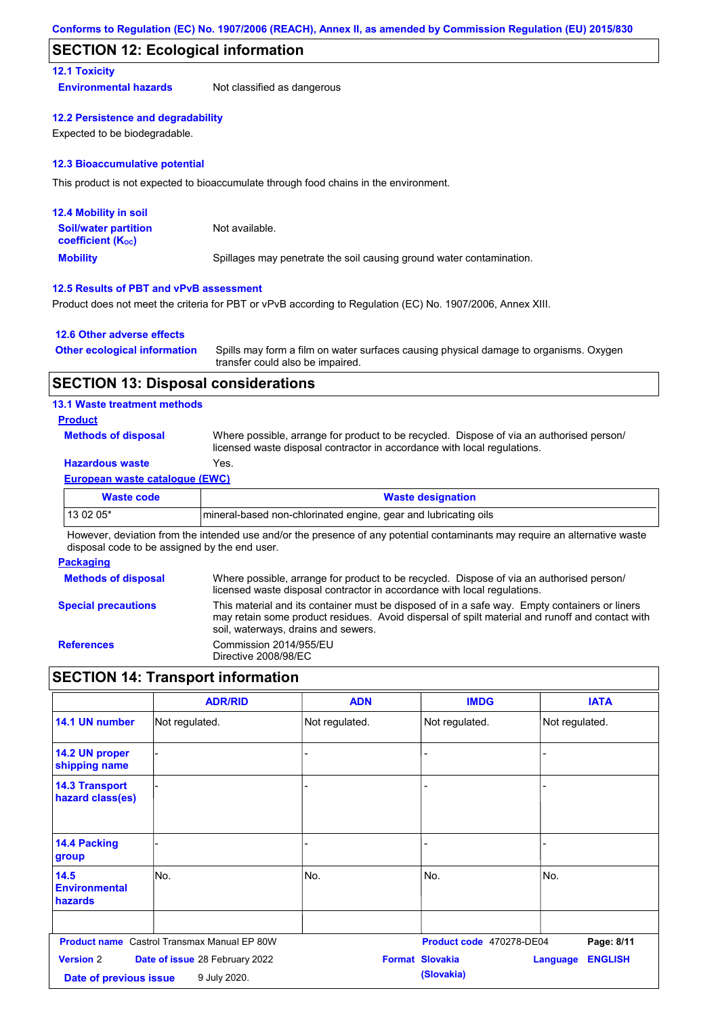### **SECTION 12: Ecological information**

### **12.1 Toxicity**

**Environmental hazards** Not classified as dangerous

#### **12.2 Persistence and degradability**

Expected to be biodegradable.

#### **12.3 Bioaccumulative potential**

This product is not expected to bioaccumulate through food chains in the environment.

| <b>12.4 Mobility in soil</b>                                  |                                                                      |
|---------------------------------------------------------------|----------------------------------------------------------------------|
| <b>Soil/water partition</b><br>coefficient (K <sub>oc</sub> ) | Not available.                                                       |
| <b>Mobility</b>                                               | Spillages may penetrate the soil causing ground water contamination. |

#### **12.5 Results of PBT and vPvB assessment**

Product does not meet the criteria for PBT or vPvB according to Regulation (EC) No. 1907/2006, Annex XIII.

#### **12.6 Other adverse effects**

| <b>Other ecological information</b> | Spills may form a film on water surfaces causing physical damage to organisms. Oxygen |
|-------------------------------------|---------------------------------------------------------------------------------------|
|                                     | transfer could also be impaired.                                                      |

### **SECTION 13: Disposal considerations**

#### **13.1 Waste treatment methods**

#### **Product**

**Methods of disposal**

Where possible, arrange for product to be recycled. Dispose of via an authorised person/ licensed waste disposal contractor in accordance with local regulations.

## **Hazardous waste** Yes.

#### **European waste catalogue (EWC)**

| Waste code | <b>Waste designation</b>                                        |
|------------|-----------------------------------------------------------------|
| 13 02 05*  | mineral-based non-chlorinated engine, gear and lubricating oils |

However, deviation from the intended use and/or the presence of any potential contaminants may require an alternative waste disposal code to be assigned by the end user.

#### **Packaging**

| <b>Methods of disposal</b> | Where possible, arrange for product to be recycled. Dispose of via an authorised person/<br>licensed waste disposal contractor in accordance with local regulations.                                                                    |
|----------------------------|-----------------------------------------------------------------------------------------------------------------------------------------------------------------------------------------------------------------------------------------|
| <b>Special precautions</b> | This material and its container must be disposed of in a safe way. Empty containers or liners<br>may retain some product residues. Avoid dispersal of spilt material and runoff and contact with<br>soil, waterways, drains and sewers. |
| <b>References</b>          | Commission 2014/955/EU<br>Directive 2008/98/EC                                                                                                                                                                                          |

## **SECTION 14: Transport information**

|                                            | <b>ADR/RID</b>                                     | <b>ADN</b>     | <b>IMDG</b>                          | <b>IATA</b>                       |
|--------------------------------------------|----------------------------------------------------|----------------|--------------------------------------|-----------------------------------|
| 14.1 UN number                             | Not regulated.                                     | Not regulated. | Not regulated.                       | Not regulated.                    |
| 14.2 UN proper<br>shipping name            |                                                    | ٠              |                                      |                                   |
| <b>14.3 Transport</b><br>hazard class(es)  |                                                    |                |                                      |                                   |
| 14.4 Packing<br>group                      |                                                    |                |                                      |                                   |
| 14.5<br><b>Environmental</b><br>hazards    | lNo.                                               | No.            | No.                                  | No.                               |
|                                            | <b>Product name</b> Castrol Transmax Manual EP 80W |                | Product code 470278-DE04             | Page: 8/11                        |
| <b>Version 2</b><br>Date of previous issue | Date of issue 28 February 2022<br>9 July 2020.     |                | <b>Format Slovakia</b><br>(Slovakia) | <b>ENGLISH</b><br><b>Language</b> |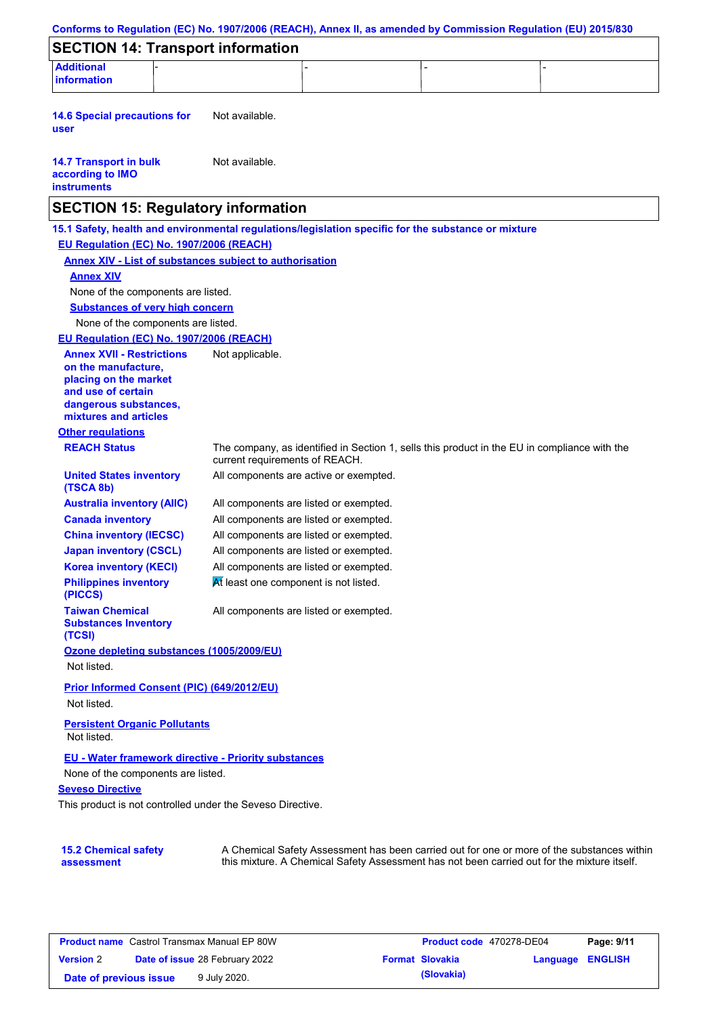| Conforms to Regulation (EC) No. 1907/2006 (REACH), Annex II, as amended by Commission Regulation (EU) 2015/830 |                                        |                                                                                                                                                                                           |  |
|----------------------------------------------------------------------------------------------------------------|----------------------------------------|-------------------------------------------------------------------------------------------------------------------------------------------------------------------------------------------|--|
| <b>SECTION 14: Transport information</b>                                                                       |                                        |                                                                                                                                                                                           |  |
| <b>Additional</b><br><b>information</b>                                                                        |                                        |                                                                                                                                                                                           |  |
|                                                                                                                |                                        |                                                                                                                                                                                           |  |
| <b>14.6 Special precautions for</b><br>user                                                                    | Not available.                         |                                                                                                                                                                                           |  |
| <b>14.7 Transport in bulk</b><br>according to IMO<br><b>instruments</b>                                        | Not available.                         |                                                                                                                                                                                           |  |
| <b>SECTION 15: Regulatory information</b>                                                                      |                                        |                                                                                                                                                                                           |  |
| 15.1 Safety, health and environmental regulations/legislation specific for the substance or mixture            |                                        |                                                                                                                                                                                           |  |
| EU Regulation (EC) No. 1907/2006 (REACH)                                                                       |                                        |                                                                                                                                                                                           |  |
| <b>Annex XIV - List of substances subject to authorisation</b>                                                 |                                        |                                                                                                                                                                                           |  |
| <b>Annex XIV</b>                                                                                               |                                        |                                                                                                                                                                                           |  |
| None of the components are listed.                                                                             |                                        |                                                                                                                                                                                           |  |
| <b>Substances of very high concern</b>                                                                         |                                        |                                                                                                                                                                                           |  |
| None of the components are listed.                                                                             |                                        |                                                                                                                                                                                           |  |
| EU Regulation (EC) No. 1907/2006 (REACH)                                                                       |                                        |                                                                                                                                                                                           |  |
| <b>Annex XVII - Restrictions</b><br>on the manufacture.<br>placing on the market<br>and use of certain         | Not applicable.                        |                                                                                                                                                                                           |  |
| dangerous substances,<br>mixtures and articles                                                                 |                                        |                                                                                                                                                                                           |  |
| <b>Other regulations</b>                                                                                       |                                        |                                                                                                                                                                                           |  |
| <b>REACH Status</b>                                                                                            | current requirements of REACH.         | The company, as identified in Section 1, sells this product in the EU in compliance with the                                                                                              |  |
| <b>United States inventory</b><br>(TSCA 8b)                                                                    | All components are active or exempted. |                                                                                                                                                                                           |  |
| <b>Australia inventory (AIIC)</b>                                                                              | All components are listed or exempted. |                                                                                                                                                                                           |  |
| <b>Canada inventory</b>                                                                                        | All components are listed or exempted. |                                                                                                                                                                                           |  |
| <b>China inventory (IECSC)</b>                                                                                 | All components are listed or exempted. |                                                                                                                                                                                           |  |
| <b>Japan inventory (CSCL)</b>                                                                                  | All components are listed or exempted. |                                                                                                                                                                                           |  |
| <b>Korea inventory (KECI)</b>                                                                                  | All components are listed or exempted. |                                                                                                                                                                                           |  |
| <b>Philippines inventory</b><br>(PICCS)                                                                        | At least one component is not listed.  |                                                                                                                                                                                           |  |
| <b>Taiwan Chemical</b><br><b>Substances Inventory</b><br>(TCSI)                                                | All components are listed or exempted. |                                                                                                                                                                                           |  |
| Ozone depleting substances (1005/2009/EU)                                                                      |                                        |                                                                                                                                                                                           |  |
| Not listed.                                                                                                    |                                        |                                                                                                                                                                                           |  |
| Prior Informed Consent (PIC) (649/2012/EU)                                                                     |                                        |                                                                                                                                                                                           |  |
| Not listed.                                                                                                    |                                        |                                                                                                                                                                                           |  |
| <b>Persistent Organic Pollutants</b><br>Not listed.                                                            |                                        |                                                                                                                                                                                           |  |
| <b>EU - Water framework directive - Priority substances</b>                                                    |                                        |                                                                                                                                                                                           |  |
| None of the components are listed.                                                                             |                                        |                                                                                                                                                                                           |  |
| <b>Seveso Directive</b>                                                                                        |                                        |                                                                                                                                                                                           |  |
| This product is not controlled under the Seveso Directive.                                                     |                                        |                                                                                                                                                                                           |  |
|                                                                                                                |                                        |                                                                                                                                                                                           |  |
| <b>15.2 Chemical safety</b><br>assessment                                                                      |                                        | A Chemical Safety Assessment has been carried out for one or more of the substances within<br>this mixture. A Chemical Safety Assessment has not been carried out for the mixture itself. |  |

| <b>Product name</b> Castrol Transmax Manual EP 80W |  | Product code 470278-DE04              |  | Page: 9/11             |                         |  |
|----------------------------------------------------|--|---------------------------------------|--|------------------------|-------------------------|--|
| <b>Version 2</b>                                   |  | <b>Date of issue 28 February 2022</b> |  | <b>Format Slovakia</b> | <b>Language ENGLISH</b> |  |
| Date of previous issue                             |  | 9 July 2020.                          |  | (Slovakia)             |                         |  |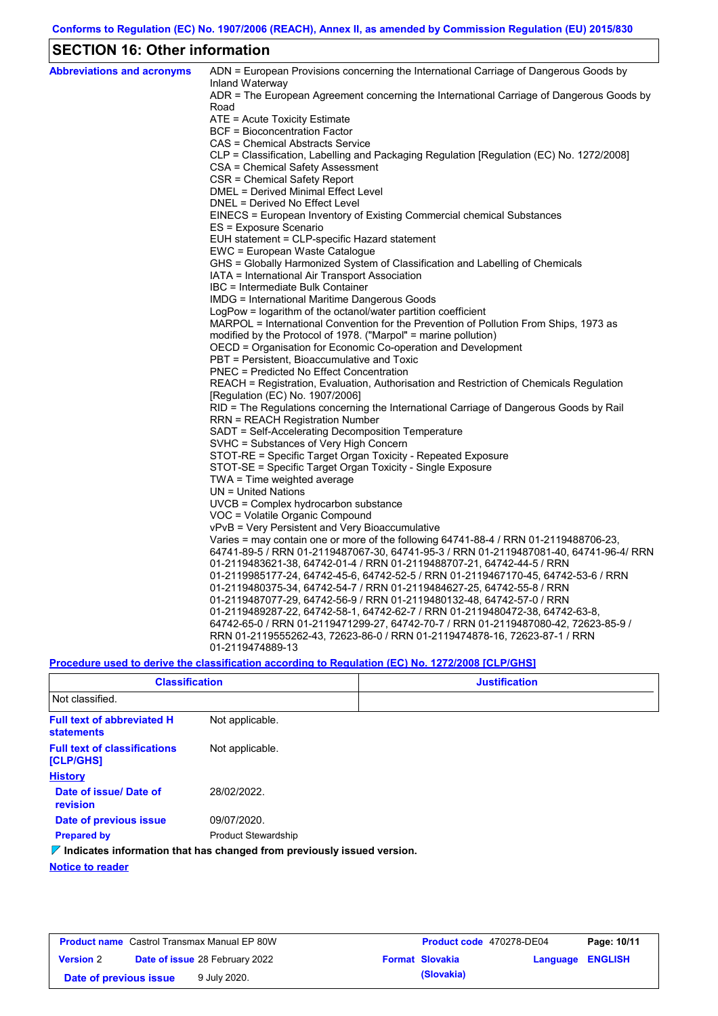## **SECTION 16: Other information**

| <b>Abbreviations and acronyms</b> | ADN = European Provisions concerning the International Carriage of Dangerous Goods by<br>Inland Waterway |
|-----------------------------------|----------------------------------------------------------------------------------------------------------|
|                                   | ADR = The European Agreement concerning the International Carriage of Dangerous Goods by<br>Road         |
|                                   | ATE = Acute Toxicity Estimate                                                                            |
|                                   | <b>BCF</b> = Bioconcentration Factor                                                                     |
|                                   | CAS = Chemical Abstracts Service                                                                         |
|                                   | CLP = Classification, Labelling and Packaging Regulation [Regulation (EC) No. 1272/2008]                 |
|                                   | CSA = Chemical Safety Assessment                                                                         |
|                                   | CSR = Chemical Safety Report                                                                             |
|                                   | <b>DMEL = Derived Minimal Effect Level</b>                                                               |
|                                   | DNEL = Derived No Effect Level                                                                           |
|                                   | EINECS = European Inventory of Existing Commercial chemical Substances                                   |
|                                   | ES = Exposure Scenario                                                                                   |
|                                   | EUH statement = CLP-specific Hazard statement                                                            |
|                                   | EWC = European Waste Catalogue                                                                           |
|                                   | GHS = Globally Harmonized System of Classification and Labelling of Chemicals                            |
|                                   | IATA = International Air Transport Association                                                           |
|                                   | IBC = Intermediate Bulk Container                                                                        |
|                                   | IMDG = International Maritime Dangerous Goods                                                            |
|                                   | LogPow = logarithm of the octanol/water partition coefficient                                            |
|                                   | MARPOL = International Convention for the Prevention of Pollution From Ships, 1973 as                    |
|                                   | modified by the Protocol of 1978. ("Marpol" = marine pollution)                                          |
|                                   | OECD = Organisation for Economic Co-operation and Development                                            |
|                                   | PBT = Persistent, Bioaccumulative and Toxic                                                              |
|                                   | <b>PNEC</b> = Predicted No Effect Concentration                                                          |
|                                   | REACH = Registration, Evaluation, Authorisation and Restriction of Chemicals Regulation                  |
|                                   | [Regulation (EC) No. 1907/2006]                                                                          |
|                                   | RID = The Regulations concerning the International Carriage of Dangerous Goods by Rail                   |
|                                   | <b>RRN = REACH Registration Number</b><br>SADT = Self-Accelerating Decomposition Temperature             |
|                                   | SVHC = Substances of Very High Concern                                                                   |
|                                   | STOT-RE = Specific Target Organ Toxicity - Repeated Exposure                                             |
|                                   | STOT-SE = Specific Target Organ Toxicity - Single Exposure                                               |
|                                   | TWA = Time weighted average                                                                              |
|                                   | $UN = United Nations$                                                                                    |
|                                   | $UVCB = Complex\;hydrocarbon\; substance$                                                                |
|                                   | VOC = Volatile Organic Compound                                                                          |
|                                   | vPvB = Very Persistent and Very Bioaccumulative                                                          |
|                                   | Varies = may contain one or more of the following $64741-88-4$ / RRN 01-2119488706-23,                   |
|                                   | 64741-89-5 / RRN 01-2119487067-30, 64741-95-3 / RRN 01-2119487081-40, 64741-96-4/ RRN                    |
|                                   | 01-2119483621-38, 64742-01-4 / RRN 01-2119488707-21, 64742-44-5 / RRN                                    |
|                                   | 01-2119985177-24, 64742-45-6, 64742-52-5 / RRN 01-2119467170-45, 64742-53-6 / RRN                        |
|                                   | 01-2119480375-34, 64742-54-7 / RRN 01-2119484627-25, 64742-55-8 / RRN                                    |
|                                   | 01-2119487077-29, 64742-56-9 / RRN 01-2119480132-48, 64742-57-0 / RRN                                    |
|                                   | 01-2119489287-22, 64742-58-1, 64742-62-7 / RRN 01-2119480472-38, 64742-63-8,                             |
|                                   | 64742-65-0 / RRN 01-2119471299-27, 64742-70-7 / RRN 01-2119487080-42, 72623-85-9 /                       |
|                                   | RRN 01-2119555262-43, 72623-86-0 / RRN 01-2119474878-16, 72623-87-1 / RRN                                |
|                                   | 01-2119474889-13                                                                                         |
|                                   |                                                                                                          |

### **Procedure used to derive the classification according to Regulation (EC) No. 1272/2008 [CLP/GHS]**

| <b>Classification</b>                                  |                                                                                 | <b>Justification</b> |  |  |  |  |
|--------------------------------------------------------|---------------------------------------------------------------------------------|----------------------|--|--|--|--|
| Not classified.                                        |                                                                                 |                      |  |  |  |  |
| <b>Full text of abbreviated H</b><br><b>statements</b> | Not applicable.                                                                 |                      |  |  |  |  |
| <b>Full text of classifications</b><br>[CLP/GHS]       | Not applicable.                                                                 |                      |  |  |  |  |
| <b>History</b>                                         |                                                                                 |                      |  |  |  |  |
| Date of issue/ Date of<br><b>revision</b>              | 28/02/2022.                                                                     |                      |  |  |  |  |
| Date of previous issue                                 | 09/07/2020.                                                                     |                      |  |  |  |  |
| <b>Prepared by</b>                                     | <b>Product Stewardship</b>                                                      |                      |  |  |  |  |
|                                                        | $\nabla$ Indicates information that has changed from previously issued version. |                      |  |  |  |  |
| Nation to sender                                       |                                                                                 |                      |  |  |  |  |

**Notice to reader**

| <b>Product name</b> Castrol Transmax Manual EP 80W |                                       |              | <b>Product code</b> 470278-DE04 |                        | Page: 10/11      |  |
|----------------------------------------------------|---------------------------------------|--------------|---------------------------------|------------------------|------------------|--|
| <b>Version 2</b>                                   | <b>Date of issue 28 February 2022</b> |              |                                 | <b>Format Slovakia</b> | Language ENGLISH |  |
| Date of previous issue                             |                                       | 9 July 2020. |                                 | (Slovakia)             |                  |  |